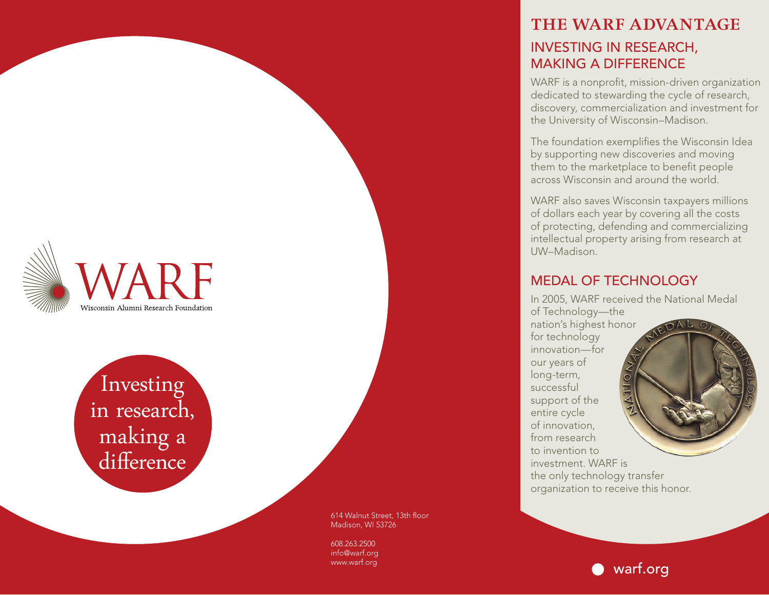## **THE WARF ADVANTAGE** INVESTING IN RESEARCH, MAKING A DIFFERENCE

WARF is a nonprofit, mission-driven organization dedicated to stewarding the cycle of research, discovery, commercialization and investment for the University of Wisconsin–Madison.

The foundation exemplifies the Wisconsin Idea by supporting new discoveries and moving them to the marketplace to benefit people across Wisconsin and around the world.

WARF also saves Wisconsin taxpayers millions of dollars each year by covering all the costs of protecting, defending and commercializing intellectual property arising from research at UW–Madison.

### MEDAL OF TECHNOLOGY

In 2005, WARF received the National Medal of Technology—the nation's highest honor for technology innovation—for our years of long-term, successful support of the entire cycle of innovation, from research to invention to investment. WARF is the only technology transfer organization to receive this honor.

614 Walnut Street, 13th floor Madison, WI 53726

608.263.2500 info@warf.org www.warf.org



Wisconsin Alumni Research Foundation

in research, making a differenc e

warf.org